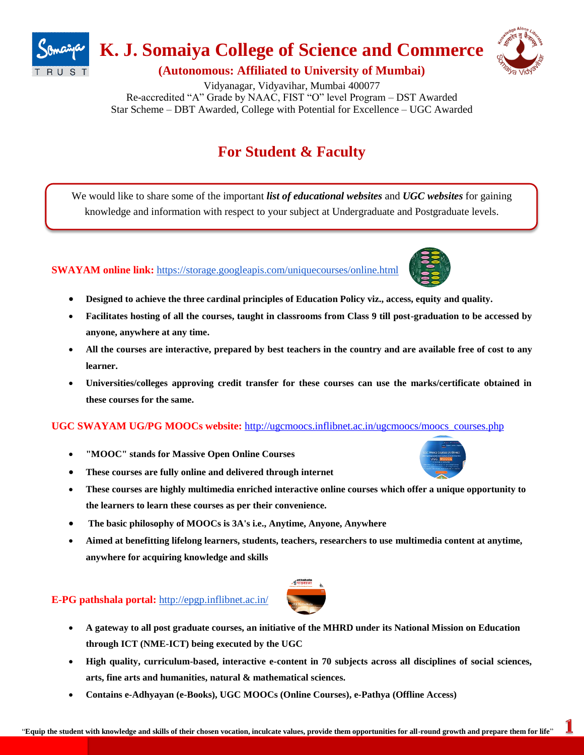

# **K. J. Somaiya College of Science and Commerce**



**(Autonomous: Affiliated to University of Mumbai)**

Vidyanagar, Vidyavihar, Mumbai 400077 Re-accredited "A" Grade by NAAC, FIST "O" level Program – DST Awarded Star Scheme – DBT Awarded, College with Potential for Excellence – UGC Awarded

# **For Student & Faculty**

We would like to share some of the important *list of educational websites* and *UGC websites* for gaining knowledge and information with respect to your subject at Undergraduate and Postgraduate levels.

# **SWAYAM online link:** <https://storage.googleapis.com/uniquecourses/online.html>



- **Designed to achieve the three cardinal principles of Education Policy viz., access, equity and quality.**
- **Facilitates hosting of all the courses, taught in classrooms from Class 9 till post-graduation to be accessed by anyone, anywhere at any time.**
- **All the courses are interactive, prepared by best teachers in the country and are available free of cost to any learner.**
- **Universities/colleges approving credit transfer for these courses can use the marks/certificate obtained in these courses for the same.**

# **UGC SWAYAM UG/PG MOOCs website:** [http://ugcmoocs.inflibnet.ac.in/ugcmoocs/moocs\\_courses.php](http://ugcmoocs.inflibnet.ac.in/ugcmoocs/moocs_courses.php)

- **"MOOC" stands for Massive Open Online Courses**
- **These courses are fully online and delivered through internet**
- **These courses are highly multimedia enriched interactive online courses which offer a unique opportunity to the learners to learn these courses as per their convenience.**
- **The basic philosophy of MOOCs is 3A's i.e., Anytime, Anyone, Anywhere**
- **Aimed at benefitting lifelong learners, students, teachers, researchers to use multimedia content at anytime, anywhere for acquiring knowledge and skills**

# **E-PG pathshala portal:** <http://epgp.inflibnet.ac.in/>

- **A gateway to all post graduate courses, an initiative of the MHRD under its National Mission on Education through ICT (NME-ICT) being executed by the UGC**
- **High quality, curriculum-based, interactive e-content in 70 subjects across all disciplines of social sciences, arts, fine arts and humanities, natural & mathematical sciences.**
- **Contains e-Adhyayan (e-Books), UGC MOOCs (Online Courses), e-Pathya (Offline Access)**

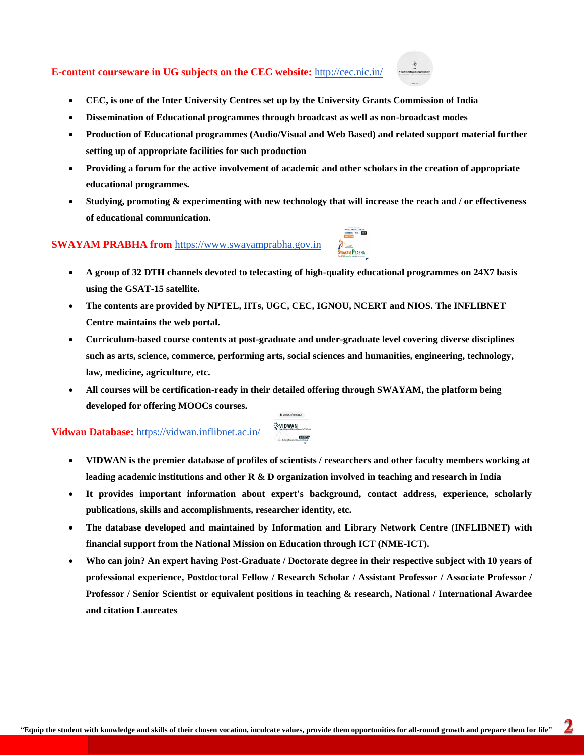### **E-content courseware in UG subjects on the CEC website:** <http://cec.nic.in/>



- **CEC, is one of the Inter University Centres set up by the University Grants Commission of India**
- **Dissemination of Educational programmes through broadcast as well as non-broadcast modes**
- **Production of Educational programmes (Audio/Visual and Web Based) and related support material further setting up of appropriate facilities for such production**
- **Providing a forum for the active involvement of academic and other scholars in the creation of appropriate educational programmes.**
- **Studying, promoting & experimenting with new technology that will increase the reach and / or effectiveness of educational communication.**

## **SWAYAM PRABHA from** [https://www.swayamprabha.gov.in](https://www.swayamprabha.gov.in/)

- **A group of 32 DTH channels devoted to telecasting of high-quality educational programmes on 24X7 basis using the GSAT-15 satellite.**
- **The contents are provided by NPTEL, IITs, UGC, CEC, IGNOU, NCERT and NIOS. The INFLIBNET Centre maintains the web portal.**
- **Curriculum-based course contents at post-graduate and under-graduate level covering diverse disciplines such as arts, science, commerce, performing arts, social sciences and humanities, engineering, technology, law, medicine, agriculture, etc.**
- **All courses will be certification-ready in their detailed offering through SWAYAM, the platform being developed for offering MOOCs courses.**

**A** solute infinence in

#### QVIDWAN **Vidwan Database:** <https://vidwan.inflibnet.ac.in/>

 **VIDWAN is the premier database of profiles of scientists / researchers and other faculty members working at leading academic institutions and other R & D organization involved in teaching and research in India**

 $\bigcap$ 

- **It provides important information about expert's background, contact address, experience, scholarly publications, skills and accomplishments, researcher identity, etc.**
- **The database developed and maintained by Information and Library Network Centre (INFLIBNET) with financial support from the National Mission on Education through ICT (NME-ICT).**
- **Who can join? An expert having Post-Graduate / Doctorate degree in their respective subject with 10 years of professional experience, Postdoctoral Fellow / Research Scholar / Assistant Professor / Associate Professor / Professor / Senior Scientist or equivalent positions in teaching & research, National / International Awardee and citation Laureates**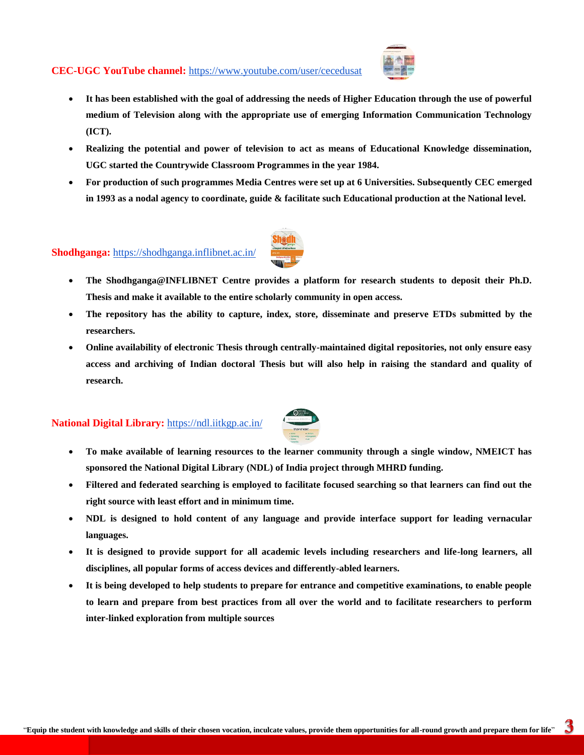## **CEC-UGC YouTube channel:** <https://www.youtube.com/user/cecedusat>



- **It has been established with the goal of addressing the needs of Higher Education through the use of powerful medium of Television along with the appropriate use of emerging Information Communication Technology (ICT).**
- **Realizing the potential and power of television to act as means of Educational Knowledge dissemination, UGC started the Countrywide Classroom Programmes in the year 1984.**
- **For production of such programmes Media Centres were set up at 6 Universities. Subsequently CEC emerged in 1993 as a nodal agency to coordinate, guide & facilitate such Educational production at the National level.**

# **Shodhganga:** <https://shodhganga.inflibnet.ac.in/>



- **The repository has the ability to capture, index, store, disseminate and preserve ETDs submitted by the researchers.**
- **Online availability of electronic Thesis through centrally-maintained digital repositories, not only ensure easy access and archiving of Indian doctoral Thesis but will also help in raising the standard and quality of research.**

## **National Digital Library:** <https://ndl.iitkgp.ac.in/>



- **To make available of learning resources to the learner community through a single window, NMEICT has sponsored the National Digital Library (NDL) of India project through MHRD funding.**
- **Filtered and federated searching is employed to facilitate focused searching so that learners can find out the right source with least effort and in minimum time.**
- **NDL is designed to hold content of any language and provide interface support for leading vernacular languages.**
- **It is designed to provide support for all academic levels including researchers and life-long learners, all disciplines, all popular forms of access devices and differently-abled learners.**
- **It is being developed to help students to prepare for entrance and competitive examinations, to enable people to learn and prepare from best practices from all over the world and to facilitate researchers to perform inter-linked exploration from multiple sources**